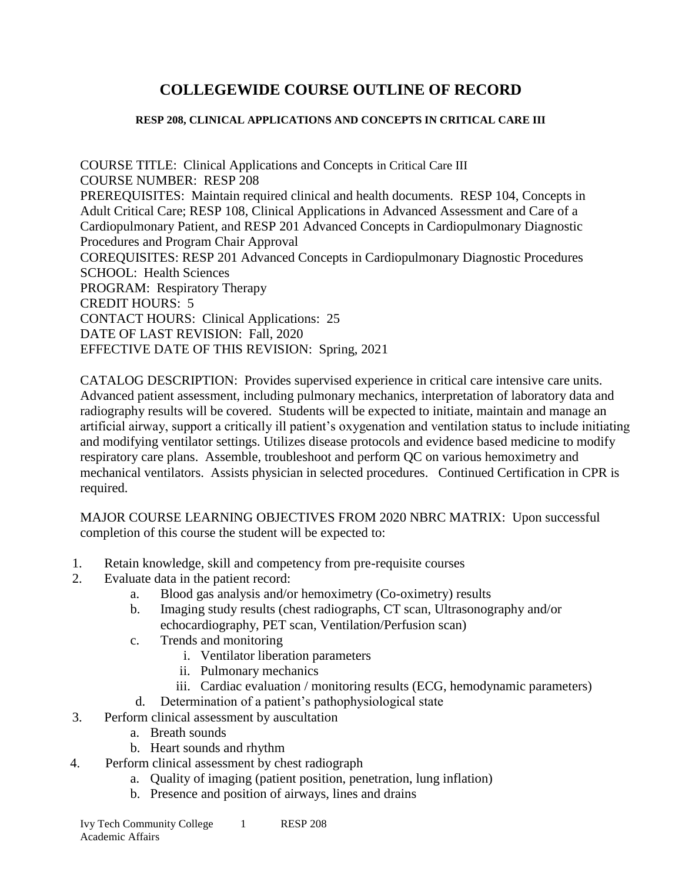# **COLLEGEWIDE COURSE OUTLINE OF RECORD**

#### **RESP 208, CLINICAL APPLICATIONS AND CONCEPTS IN CRITICAL CARE III**

COURSE TITLE: Clinical Applications and Concepts in Critical Care III COURSE NUMBER: RESP 208 PREREQUISITES: Maintain required clinical and health documents. RESP 104, Concepts in Adult Critical Care; RESP 108, Clinical Applications in Advanced Assessment and Care of a Cardiopulmonary Patient, and RESP 201 Advanced Concepts in Cardiopulmonary Diagnostic Procedures and Program Chair Approval COREQUISITES: RESP 201 Advanced Concepts in Cardiopulmonary Diagnostic Procedures SCHOOL: Health Sciences PROGRAM: Respiratory Therapy CREDIT HOURS: 5 CONTACT HOURS: Clinical Applications: 25 DATE OF LAST REVISION: Fall, 2020 EFFECTIVE DATE OF THIS REVISION: Spring, 2021

CATALOG DESCRIPTION: Provides supervised experience in critical care intensive care units. Advanced patient assessment, including pulmonary mechanics, interpretation of laboratory data and radiography results will be covered. Students will be expected to initiate, maintain and manage an artificial airway, support a critically ill patient's oxygenation and ventilation status to include initiating and modifying ventilator settings. Utilizes disease protocols and evidence based medicine to modify respiratory care plans. Assemble, troubleshoot and perform QC on various hemoximetry and mechanical ventilators. Assists physician in selected procedures. Continued Certification in CPR is required.

MAJOR COURSE LEARNING OBJECTIVES FROM 2020 NBRC MATRIX: Upon successful completion of this course the student will be expected to:

- 1. Retain knowledge, skill and competency from pre-requisite courses
- 2. Evaluate data in the patient record:
	- a. Blood gas analysis and/or hemoximetry (Co-oximetry) results
	- b. Imaging study results (chest radiographs, CT scan, Ultrasonography and/or echocardiography, PET scan, Ventilation/Perfusion scan)
	- c. Trends and monitoring
		- i. Ventilator liberation parameters
		- ii. Pulmonary mechanics
		- iii. Cardiac evaluation / monitoring results (ECG, hemodynamic parameters)
	- d. Determination of a patient's pathophysiological state
- 3. Perform clinical assessment by auscultation
	- a. Breath sounds
	- b. Heart sounds and rhythm
- 4. Perform clinical assessment by chest radiograph
	- a. Quality of imaging (patient position, penetration, lung inflation)
	- b. Presence and position of airways, lines and drains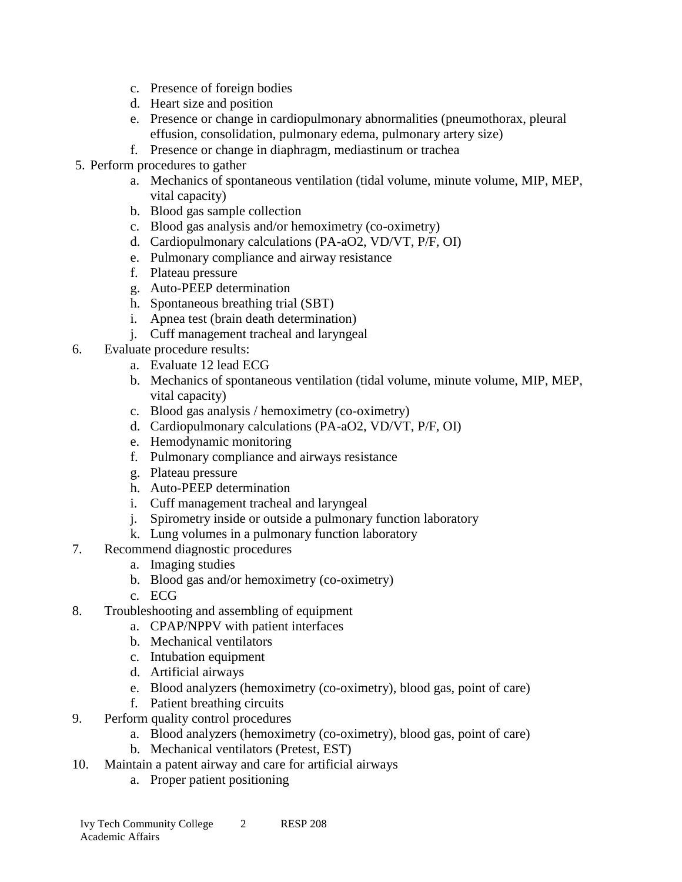- c. Presence of foreign bodies
- d. Heart size and position
- e. Presence or change in cardiopulmonary abnormalities (pneumothorax, pleural effusion, consolidation, pulmonary edema, pulmonary artery size)
- f. Presence or change in diaphragm, mediastinum or trachea
- 5. Perform procedures to gather
	- a. Mechanics of spontaneous ventilation (tidal volume, minute volume, MIP, MEP, vital capacity)
	- b. Blood gas sample collection
	- c. Blood gas analysis and/or hemoximetry (co-oximetry)
	- d. Cardiopulmonary calculations (PA-aO2, VD/VT, P/F, OI)
	- e. Pulmonary compliance and airway resistance
	- f. Plateau pressure
	- g. Auto-PEEP determination
	- h. Spontaneous breathing trial (SBT)
	- i. Apnea test (brain death determination)
	- j. Cuff management tracheal and laryngeal
- 6. Evaluate procedure results:
	- a. Evaluate 12 lead ECG
	- b. Mechanics of spontaneous ventilation (tidal volume, minute volume, MIP, MEP, vital capacity)
	- c. Blood gas analysis / hemoximetry (co-oximetry)
	- d. Cardiopulmonary calculations (PA-aO2, VD/VT, P/F, OI)
	- e. Hemodynamic monitoring
	- f. Pulmonary compliance and airways resistance
	- g. Plateau pressure
	- h. Auto-PEEP determination
	- i. Cuff management tracheal and laryngeal
	- j. Spirometry inside or outside a pulmonary function laboratory
	- k. Lung volumes in a pulmonary function laboratory
- 7. Recommend diagnostic procedures
	- a. Imaging studies
	- b. Blood gas and/or hemoximetry (co-oximetry)
	- c. ECG
- 8. Troubleshooting and assembling of equipment
	- a. CPAP/NPPV with patient interfaces
	- b. Mechanical ventilators
	- c. Intubation equipment
	- d. Artificial airways
	- e. Blood analyzers (hemoximetry (co-oximetry), blood gas, point of care)
	- f. Patient breathing circuits
- 9. Perform quality control procedures
	- a. Blood analyzers (hemoximetry (co-oximetry), blood gas, point of care)
	- b. Mechanical ventilators (Pretest, EST)
- 10. Maintain a patent airway and care for artificial airways
	- a. Proper patient positioning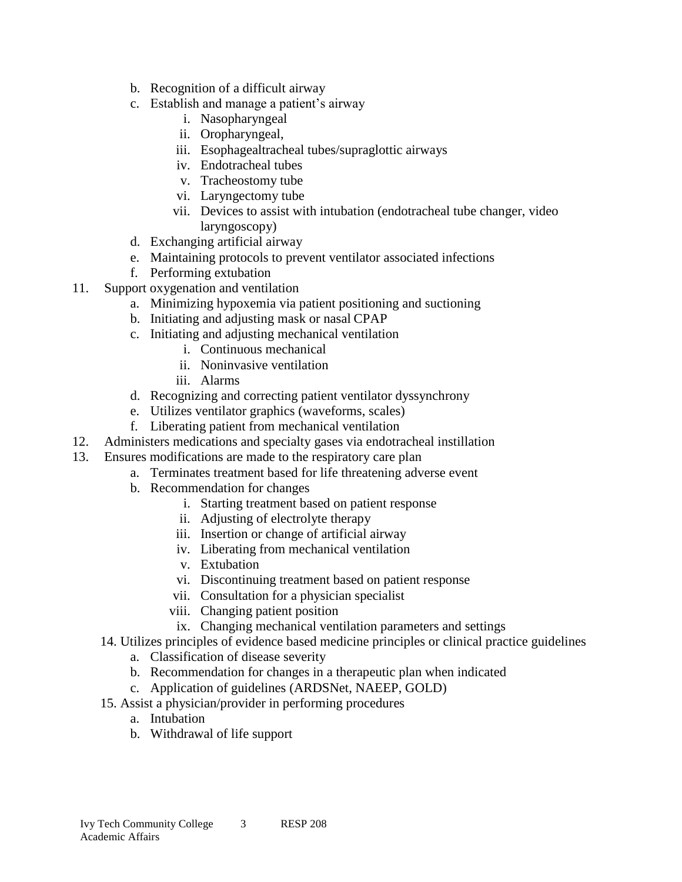- b. Recognition of a difficult airway
- c. Establish and manage a patient's airway
	- i. Nasopharyngeal
	- ii. Oropharyngeal,
	- iii. Esophagealtracheal tubes/supraglottic airways
	- iv. Endotracheal tubes
	- v. Tracheostomy tube
	- vi. Laryngectomy tube
	- vii. Devices to assist with intubation (endotracheal tube changer, video laryngoscopy)
- d. Exchanging artificial airway
- e. Maintaining protocols to prevent ventilator associated infections
- f. Performing extubation
- 11. Support oxygenation and ventilation
	- a. Minimizing hypoxemia via patient positioning and suctioning
	- b. Initiating and adjusting mask or nasal CPAP
	- c. Initiating and adjusting mechanical ventilation
		- i. Continuous mechanical
		- ii. Noninvasive ventilation
		- iii. Alarms
	- d. Recognizing and correcting patient ventilator dyssynchrony
	- e. Utilizes ventilator graphics (waveforms, scales)
	- f. Liberating patient from mechanical ventilation
- 12. Administers medications and specialty gases via endotracheal instillation
- 13. Ensures modifications are made to the respiratory care plan
	- a. Terminates treatment based for life threatening adverse event
		- b. Recommendation for changes
			- i. Starting treatment based on patient response
			- ii. Adjusting of electrolyte therapy
			- iii. Insertion or change of artificial airway
			- iv. Liberating from mechanical ventilation
			- v. Extubation
			- vi. Discontinuing treatment based on patient response
			- vii. Consultation for a physician specialist
			- viii. Changing patient position
				- ix. Changing mechanical ventilation parameters and settings
	- 14. Utilizes principles of evidence based medicine principles or clinical practice guidelines
		- a. Classification of disease severity
		- b. Recommendation for changes in a therapeutic plan when indicated
		- c. Application of guidelines (ARDSNet, NAEEP, GOLD)
	- 15. Assist a physician/provider in performing procedures
		- a. Intubation
		- b. Withdrawal of life support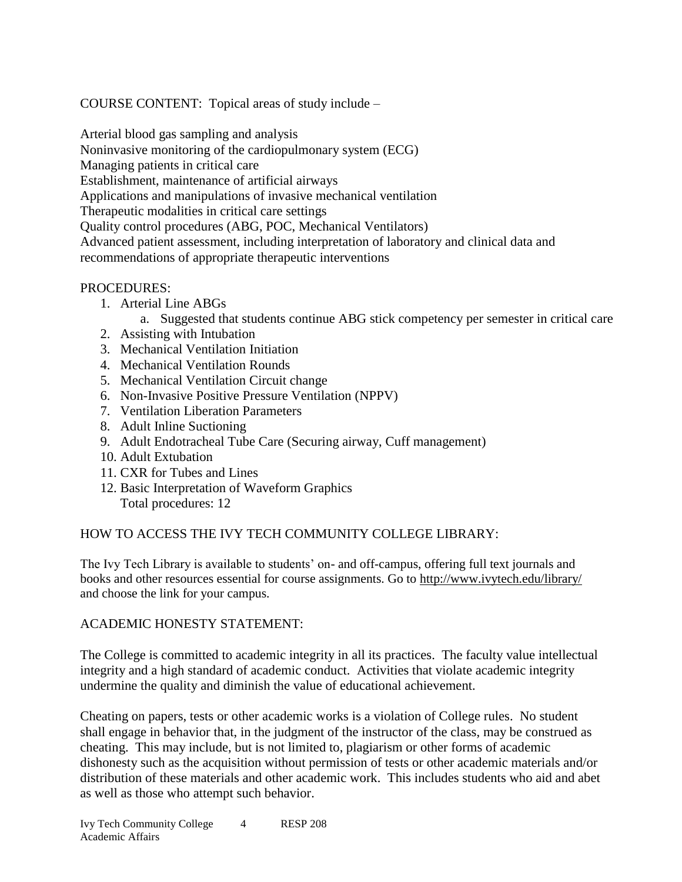COURSE CONTENT: Topical areas of study include –

Arterial blood gas sampling and analysis Noninvasive monitoring of the cardiopulmonary system (ECG) Managing patients in critical care Establishment, maintenance of artificial airways Applications and manipulations of invasive mechanical ventilation Therapeutic modalities in critical care settings Quality control procedures (ABG, POC, Mechanical Ventilators) Advanced patient assessment, including interpretation of laboratory and clinical data and recommendations of appropriate therapeutic interventions

## PROCEDURES:

- 1. Arterial Line ABGs
	- a. Suggested that students continue ABG stick competency per semester in critical care
- 2. Assisting with Intubation
- 3. Mechanical Ventilation Initiation
- 4. Mechanical Ventilation Rounds
- 5. Mechanical Ventilation Circuit change
- 6. Non-Invasive Positive Pressure Ventilation (NPPV)
- 7. Ventilation Liberation Parameters
- 8. Adult Inline Suctioning
- 9. Adult Endotracheal Tube Care (Securing airway, Cuff management)
- 10. Adult Extubation
- 11. CXR for Tubes and Lines
- 12. Basic Interpretation of Waveform Graphics Total procedures: 12

# HOW TO ACCESS THE IVY TECH COMMUNITY COLLEGE LIBRARY:

The Ivy Tech Library is available to students' on- and off-campus, offering full text journals and books and other resources essential for course assignments. Go to<http://www.ivytech.edu/library/> and choose the link for your campus.

#### ACADEMIC HONESTY STATEMENT:

The College is committed to academic integrity in all its practices. The faculty value intellectual integrity and a high standard of academic conduct. Activities that violate academic integrity undermine the quality and diminish the value of educational achievement.

Cheating on papers, tests or other academic works is a violation of College rules. No student shall engage in behavior that, in the judgment of the instructor of the class, may be construed as cheating. This may include, but is not limited to, plagiarism or other forms of academic dishonesty such as the acquisition without permission of tests or other academic materials and/or distribution of these materials and other academic work. This includes students who aid and abet as well as those who attempt such behavior.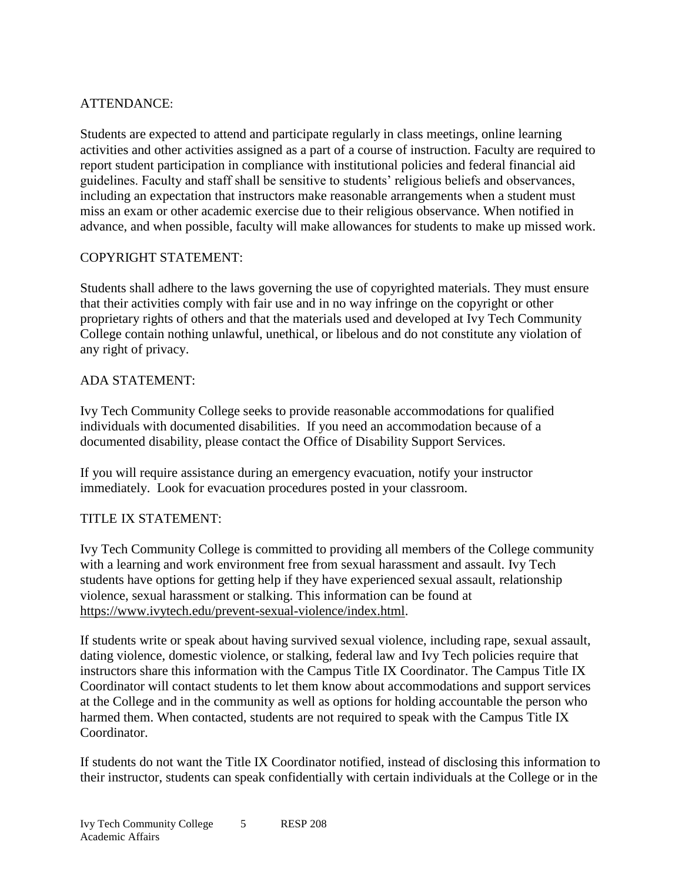# ATTENDANCE:

Students are expected to attend and participate regularly in class meetings, online learning activities and other activities assigned as a part of a course of instruction. Faculty are required to report student participation in compliance with institutional policies and federal financial aid guidelines. Faculty and staff shall be sensitive to students' religious beliefs and observances, including an expectation that instructors make reasonable arrangements when a student must miss an exam or other academic exercise due to their religious observance. When notified in advance, and when possible, faculty will make allowances for students to make up missed work.

## COPYRIGHT STATEMENT:

Students shall adhere to the laws governing the use of copyrighted materials. They must ensure that their activities comply with fair use and in no way infringe on the copyright or other proprietary rights of others and that the materials used and developed at Ivy Tech Community College contain nothing unlawful, unethical, or libelous and do not constitute any violation of any right of privacy.

## ADA STATEMENT:

Ivy Tech Community College seeks to provide reasonable accommodations for qualified individuals with documented disabilities. If you need an accommodation because of a documented disability, please contact the Office of Disability Support Services.

If you will require assistance during an emergency evacuation, notify your instructor immediately. Look for evacuation procedures posted in your classroom.

# TITLE IX STATEMENT:

Ivy Tech Community College is committed to providing all members of the College community with a learning and work environment free from sexual harassment and assault. Ivy Tech students have options for getting help if they have experienced sexual assault, relationship violence, sexual harassment or stalking. This information can be found at [https://www.ivytech.edu/prevent-sexual-violence/index.html.](https://www.ivytech.edu/prevent-sexual-violence/index.html)

If students write or speak about having survived sexual violence, including rape, sexual assault, dating violence, domestic violence, or stalking, federal law and Ivy Tech policies require that instructors share this information with the Campus Title IX Coordinator. The Campus Title IX Coordinator will contact students to let them know about accommodations and support services at the College and in the community as well as options for holding accountable the person who harmed them. When contacted, students are not required to speak with the Campus Title IX Coordinator.

If students do not want the Title IX Coordinator notified, instead of disclosing this information to their instructor, students can speak confidentially with certain individuals at the College or in the